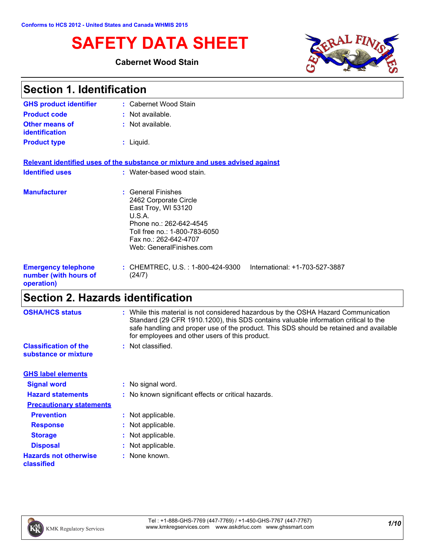# **SAFETY DATA SHEET**

### **Cabernet Wood Stain**



| <b>Section 1. Identification</b>                                  |                                                                                                                                                                                               |  |
|-------------------------------------------------------------------|-----------------------------------------------------------------------------------------------------------------------------------------------------------------------------------------------|--|
| <b>GHS product identifier</b>                                     | : Cabernet Wood Stain                                                                                                                                                                         |  |
| <b>Product code</b>                                               | : Not available.                                                                                                                                                                              |  |
| Other means of<br><b>identification</b>                           | : Not available.                                                                                                                                                                              |  |
| <b>Product type</b>                                               | $:$ Liquid.                                                                                                                                                                                   |  |
|                                                                   | Relevant identified uses of the substance or mixture and uses advised against                                                                                                                 |  |
| <b>Identified uses</b>                                            | : Water-based wood stain.                                                                                                                                                                     |  |
| <b>Manufacturer</b>                                               | : General Finishes<br>2462 Corporate Circle<br>East Troy, WI 53120<br>U.S.A.<br>Phone no.: 262-642-4545<br>Toll free no.: 1-800-783-6050<br>Fax no.: 262-642-4707<br>Web: GeneralFinishes.com |  |
| <b>Emergency telephone</b><br>number (with hours of<br>operation) | : CHEMTREC, U.S. : 1-800-424-9300<br>International: +1-703-527-3887<br>(24/7)                                                                                                                 |  |

# **Section 2. Hazards identification**

| <b>OSHA/HCS status</b>                               | : While this material is not considered hazardous by the OSHA Hazard Communication<br>Standard (29 CFR 1910.1200), this SDS contains valuable information critical to the<br>safe handling and proper use of the product. This SDS should be retained and available<br>for employees and other users of this product. |
|------------------------------------------------------|-----------------------------------------------------------------------------------------------------------------------------------------------------------------------------------------------------------------------------------------------------------------------------------------------------------------------|
| <b>Classification of the</b><br>substance or mixture | : Not classified.                                                                                                                                                                                                                                                                                                     |
| <b>GHS label elements</b>                            |                                                                                                                                                                                                                                                                                                                       |
| <b>Signal word</b>                                   | : No signal word.                                                                                                                                                                                                                                                                                                     |
| <b>Hazard statements</b>                             | : No known significant effects or critical hazards.                                                                                                                                                                                                                                                                   |
| <b>Precautionary statements</b>                      |                                                                                                                                                                                                                                                                                                                       |
| <b>Prevention</b>                                    | : Not applicable.                                                                                                                                                                                                                                                                                                     |
| <b>Response</b>                                      | : Not applicable.                                                                                                                                                                                                                                                                                                     |
| <b>Storage</b>                                       | : Not applicable.                                                                                                                                                                                                                                                                                                     |
| <b>Disposal</b>                                      | : Not applicable.                                                                                                                                                                                                                                                                                                     |
| <b>Hazards not otherwise</b><br>classified           | : None known.                                                                                                                                                                                                                                                                                                         |
|                                                      |                                                                                                                                                                                                                                                                                                                       |

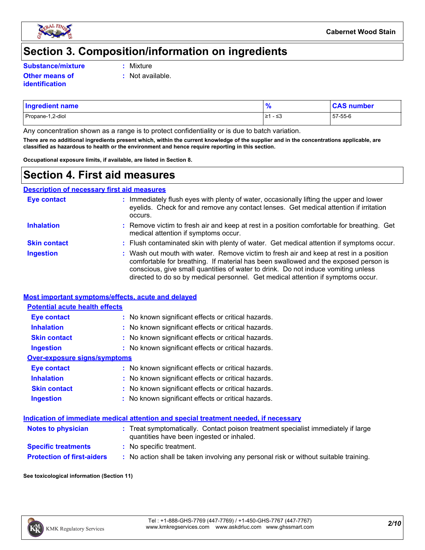

### **Section 3. Composition/information on ingredients**

**Substance/mixture :**

- Mixture
- **Other means of identification**
- **:** Not available.
- Propane-1,2-diol ≥1 ≤3 57-55-6 **Ingredient name % CAS number**

Any concentration shown as a range is to protect confidentiality or is due to batch variation.

**There are no additional ingredients present which, within the current knowledge of the supplier and in the concentrations applicable, are classified as hazardous to health or the environment and hence require reporting in this section.**

**Occupational exposure limits, if available, are listed in Section 8.**

### **Section 4. First aid measures**

**Description of necessary first aid measures**

| <b>Eye contact</b>  | : Immediately flush eyes with plenty of water, occasionally lifting the upper and lower<br>eyelids. Check for and remove any contact lenses. Get medical attention if irritation<br>occurs.                                                                                                                                                            |
|---------------------|--------------------------------------------------------------------------------------------------------------------------------------------------------------------------------------------------------------------------------------------------------------------------------------------------------------------------------------------------------|
| <b>Inhalation</b>   | : Remove victim to fresh air and keep at rest in a position comfortable for breathing. Get<br>medical attention if symptoms occur.                                                                                                                                                                                                                     |
| <b>Skin contact</b> | : Flush contaminated skin with plenty of water. Get medical attention if symptoms occur.                                                                                                                                                                                                                                                               |
| <b>Ingestion</b>    | : Wash out mouth with water. Remove victim to fresh air and keep at rest in a position<br>comfortable for breathing. If material has been swallowed and the exposed person is<br>conscious, give small quantities of water to drink. Do not induce vomiting unless<br>directed to do so by medical personnel. Get medical attention if symptoms occur. |

#### **Most important symptoms/effects, acute and delayed**

| <b>Potential acute health effects</b> |                                                     |
|---------------------------------------|-----------------------------------------------------|
| Eye contact                           | : No known significant effects or critical hazards. |
| <b>Inhalation</b>                     | : No known significant effects or critical hazards. |
| <b>Skin contact</b>                   | : No known significant effects or critical hazards. |
| <b>Ingestion</b>                      | : No known significant effects or critical hazards. |
| Over-exposure signs/symptoms          |                                                     |
| Eye contact                           | : No known significant effects or critical hazards. |
| <b>Inhalation</b>                     | : No known significant effects or critical hazards. |
| <b>Skin contact</b>                   | : No known significant effects or critical hazards. |
| <b>Ingestion</b>                      | : No known significant effects or critical hazards. |

#### **Indication of immediate medical attention and special treatment needed, if necessary**

| <b>Notes to physician</b>         | : Treat symptomatically. Contact poison treatment specialist immediately if large<br>quantities have been ingested or inhaled. |
|-----------------------------------|--------------------------------------------------------------------------------------------------------------------------------|
| <b>Specific treatments</b>        | : No specific treatment.                                                                                                       |
| <b>Protection of first-aiders</b> | No action shall be taken involving any personal risk or without suitable training.                                             |

#### **See toxicological information (Section 11)**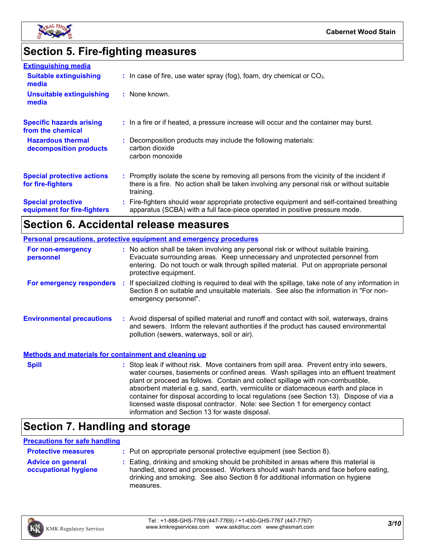

# **Section 5. Fire-fighting measures**

| <b>Extinguishing media</b>                               |                                                                                                                                                                                                     |
|----------------------------------------------------------|-----------------------------------------------------------------------------------------------------------------------------------------------------------------------------------------------------|
| <b>Suitable extinguishing</b><br>media                   | $\therefore$ In case of fire, use water spray (fog), foam, dry chemical or CO <sub>2</sub> .                                                                                                        |
| <b>Unsuitable extinguishing</b><br>media                 | : None known.                                                                                                                                                                                       |
| <b>Specific hazards arising</b><br>from the chemical     | : In a fire or if heated, a pressure increase will occur and the container may burst.                                                                                                               |
| <b>Hazardous thermal</b><br>decomposition products       | : Decomposition products may include the following materials:<br>carbon dioxide<br>carbon monoxide                                                                                                  |
| <b>Special protective actions</b><br>for fire-fighters   | : Promptly isolate the scene by removing all persons from the vicinity of the incident if<br>there is a fire. No action shall be taken involving any personal risk or without suitable<br>training. |
| <b>Special protective</b><br>equipment for fire-fighters | : Fire-fighters should wear appropriate protective equipment and self-contained breathing<br>apparatus (SCBA) with a full face-piece operated in positive pressure mode.                            |

### **Section 6. Accidental release measures**

|                                                              | <b>Personal precautions, protective equipment and emergency procedures</b>                                                                                                                                                                                                                                                                                                                                                                                                                                                                                                                 |
|--------------------------------------------------------------|--------------------------------------------------------------------------------------------------------------------------------------------------------------------------------------------------------------------------------------------------------------------------------------------------------------------------------------------------------------------------------------------------------------------------------------------------------------------------------------------------------------------------------------------------------------------------------------------|
| For non-emergency<br>personnel                               | : No action shall be taken involving any personal risk or without suitable training.<br>Evacuate surrounding areas. Keep unnecessary and unprotected personnel from<br>entering. Do not touch or walk through spilled material. Put on appropriate personal<br>protective equipment.                                                                                                                                                                                                                                                                                                       |
|                                                              | For emergency responders : If specialized clothing is required to deal with the spillage, take note of any information in<br>Section 8 on suitable and unsuitable materials. See also the information in "For non-<br>emergency personnel".                                                                                                                                                                                                                                                                                                                                                |
| <b>Environmental precautions</b>                             | : Avoid dispersal of spilled material and runoff and contact with soil, waterways, drains<br>and sewers. Inform the relevant authorities if the product has caused environmental<br>pollution (sewers, waterways, soil or air).                                                                                                                                                                                                                                                                                                                                                            |
| <b>Methods and materials for containment and cleaning up</b> |                                                                                                                                                                                                                                                                                                                                                                                                                                                                                                                                                                                            |
| <b>Spill</b>                                                 | : Stop leak if without risk. Move containers from spill area. Prevent entry into sewers,<br>water courses, basements or confined areas. Wash spillages into an effluent treatment<br>plant or proceed as follows. Contain and collect spillage with non-combustible,<br>absorbent material e.g. sand, earth, vermiculite or diatomaceous earth and place in<br>container for disposal according to local regulations (see Section 13). Dispose of via a<br>licensed waste disposal contractor. Note: see Section 1 for emergency contact<br>information and Section 13 for waste disposal. |

# **Section 7. Handling and storage**

#### **Precautions for safe handling**

| <b>Protective measures</b>                              | : Put on appropriate personal protective equipment (see Section 8).                                                                                                                                                                                                    |
|---------------------------------------------------------|------------------------------------------------------------------------------------------------------------------------------------------------------------------------------------------------------------------------------------------------------------------------|
| <b>Advice on general</b><br><b>occupational hygiene</b> | : Eating, drinking and smoking should be prohibited in areas where this material is<br>handled, stored and processed. Workers should wash hands and face before eating,<br>drinking and smoking. See also Section 8 for additional information on hygiene<br>measures. |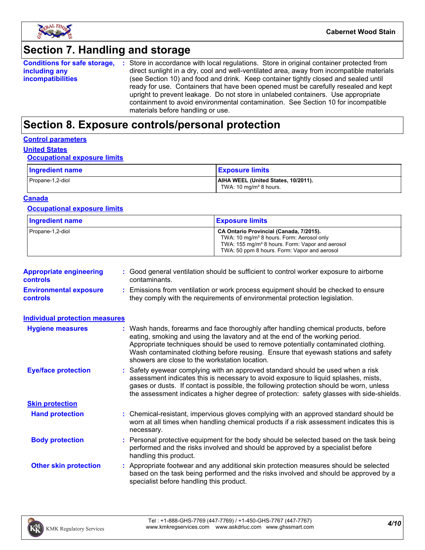

## **Section 7. Handling and storage**

|                          | <b>Conditions for safe storage, :</b> Store in accordance with local regulations. Store in original container protected from |
|--------------------------|------------------------------------------------------------------------------------------------------------------------------|
| including any            | direct sunlight in a dry, cool and well-ventilated area, away from incompatible materials                                    |
| <b>incompatibilities</b> | (see Section 10) and food and drink. Keep container tightly closed and sealed until                                          |
|                          | ready for use. Containers that have been opened must be carefully resealed and kept                                          |
|                          | upright to prevent leakage. Do not store in unlabeled containers. Use appropriate                                            |
|                          | containment to avoid environmental contamination. See Section 10 for incompatible                                            |
|                          | materials before handling or use.                                                                                            |

### **Section 8. Exposure controls/personal protection**

#### **Control parameters**

### **United States**

### **Occupational exposure limits**

| Ingredient name  | <b>Exposure limits</b>                                                    |
|------------------|---------------------------------------------------------------------------|
| Propane-1,2-diol | AIHA WEEL (United States, 10/2011).<br>TWA: 10 mg/m <sup>3</sup> 8 hours. |

#### **Canada**

#### **Occupational exposure limits**

| <b>Ingredient name</b> | <b>Exposure limits</b>                                                                                                                                                                                          |
|------------------------|-----------------------------------------------------------------------------------------------------------------------------------------------------------------------------------------------------------------|
| Propane-1,2-diol       | CA Ontario Provincial (Canada, 7/2015).<br>TWA: 10 mg/m <sup>3</sup> 8 hours. Form: Aerosol only<br>TWA: 155 mg/m <sup>3</sup> 8 hours. Form: Vapor and aerosol<br>TWA: 50 ppm 8 hours. Form: Vapor and aerosol |

| <b>Appropriate engineering</b><br><b>controls</b> | : Good general ventilation should be sufficient to control worker exposure to airborne<br>contaminants.                                                          |
|---------------------------------------------------|------------------------------------------------------------------------------------------------------------------------------------------------------------------|
| <b>Environmental exposure</b><br><b>controls</b>  | : Emissions from ventilation or work process equipment should be checked to ensure<br>they comply with the requirements of environmental protection legislation. |

| <b>Individual protection measures</b> |                                                                                                                                                                                                                                                                                                                                                                                                   |
|---------------------------------------|---------------------------------------------------------------------------------------------------------------------------------------------------------------------------------------------------------------------------------------------------------------------------------------------------------------------------------------------------------------------------------------------------|
| <b>Hygiene measures</b>               | : Wash hands, forearms and face thoroughly after handling chemical products, before<br>eating, smoking and using the lavatory and at the end of the working period.<br>Appropriate techniques should be used to remove potentially contaminated clothing.<br>Wash contaminated clothing before reusing. Ensure that eyewash stations and safety<br>showers are close to the workstation location. |
| <b>Eye/face protection</b>            | : Safety eyewear complying with an approved standard should be used when a risk<br>assessment indicates this is necessary to avoid exposure to liquid splashes, mists,<br>gases or dusts. If contact is possible, the following protection should be worn, unless<br>the assessment indicates a higher degree of protection: safety glasses with side-shields.                                    |
| <b>Skin protection</b>                |                                                                                                                                                                                                                                                                                                                                                                                                   |
| <b>Hand protection</b>                | : Chemical-resistant, impervious gloves complying with an approved standard should be<br>worn at all times when handling chemical products if a risk assessment indicates this is<br>necessary.                                                                                                                                                                                                   |
| <b>Body protection</b>                | : Personal protective equipment for the body should be selected based on the task being<br>performed and the risks involved and should be approved by a specialist before<br>handling this product.                                                                                                                                                                                               |
| <b>Other skin protection</b>          | : Appropriate footwear and any additional skin protection measures should be selected<br>based on the task being performed and the risks involved and should be approved by a<br>specialist before handling this product.                                                                                                                                                                         |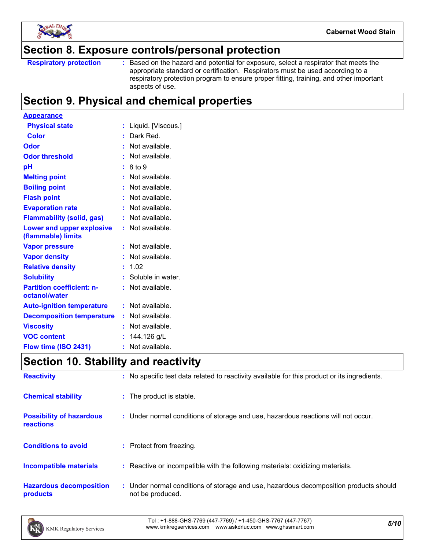

### **Section 8. Exposure controls/personal protection**

```
Respiratory protection :
```
Based on the hazard and potential for exposure, select a respirator that meets the appropriate standard or certification. Respirators must be used according to a respiratory protection program to ensure proper fitting, training, and other important aspects of use.

### **Section 9. Physical and chemical properties**

| <b>Appearance</b>                                 |                      |
|---------------------------------------------------|----------------------|
| <b>Physical state</b>                             | Liquid. [Viscous.]   |
| <b>Color</b>                                      | : Dark Red.          |
| Odor                                              | Not available.<br>t. |
| <b>Odor threshold</b>                             | Not available.       |
| рH                                                | 8 to 9               |
| <b>Melting point</b>                              | Not available.       |
| <b>Boiling point</b>                              | : Not available.     |
| <b>Flash point</b>                                | Not available.<br>t. |
| <b>Evaporation rate</b>                           | Not available.       |
| <b>Flammability (solid, gas)</b>                  | Not available.       |
| Lower and upper explosive<br>(flammable) limits   | : Not available.     |
| <b>Vapor pressure</b>                             | Not available.       |
| <b>Vapor density</b>                              | Not available.       |
| <b>Relative density</b>                           | 1.02<br>t.           |
| <b>Solubility</b>                                 | : Soluble in water.  |
| <b>Partition coefficient: n-</b><br>octanol/water | Not available.       |
| <b>Auto-ignition temperature</b>                  | $:$ Not available.   |
| <b>Decomposition temperature</b>                  | : Not available.     |
| <b>Viscosity</b>                                  | Not available.       |
| <b>VOC content</b>                                | 144.126 g/L<br>t     |
| Flow time (ISO 2431)                              | Not available.<br>۰  |

### **Section 10. Stability and reactivity**

| <b>Reactivity</b>                            | : No specific test data related to reactivity available for this product or its ingredients.              |
|----------------------------------------------|-----------------------------------------------------------------------------------------------------------|
| <b>Chemical stability</b>                    | : The product is stable.                                                                                  |
| <b>Possibility of hazardous</b><br>reactions | : Under normal conditions of storage and use, hazardous reactions will not occur.                         |
| <b>Conditions to avoid</b>                   | : Protect from freezing.                                                                                  |
| <b>Incompatible materials</b>                | : Reactive or incompatible with the following materials: oxidizing materials.                             |
| <b>Hazardous decomposition</b><br>products   | : Under normal conditions of storage and use, hazardous decomposition products should<br>not be produced. |

*5/10* Tel : +1-888-GHS-7769 (447-7769) / +1-450-GHS-7767 (447-7767) www.kmkregservices.com www.askdrluc.com www.ghssmart.com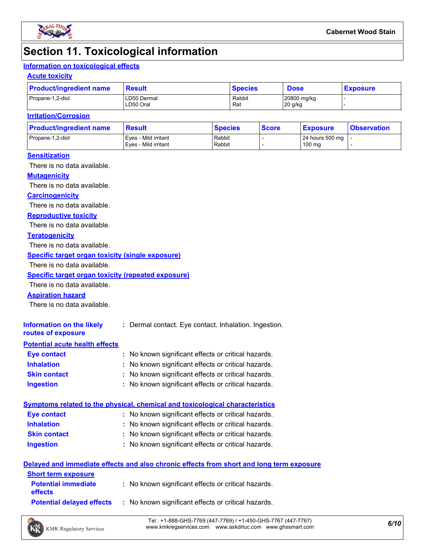

### **Section 11. Toxicological information**

### **Information on toxicological effects**

#### **Acute toxicity**

| <b>Product/ingredient name</b> | <b>Result</b>            | <b>Species</b> | <b>Dose</b>            | <b>Exposure</b> |  |
|--------------------------------|--------------------------|----------------|------------------------|-----------------|--|
| Propane-1,2-diol               | LD50 Dermal<br>LD50 Oral | Rabbit<br>Rat  | 20800 mg/kg<br>20 g/kg |                 |  |

#### **Irritation/Corrosion**

| <b>Product/ingredient name</b> | <b>Result</b>                                | <b>Species</b>   | <b>Score</b> | <u>  Exposure</u>         | <b>Observation</b> |
|--------------------------------|----------------------------------------------|------------------|--------------|---------------------------|--------------------|
| Propane-1,2-diol               | Eves - Mild irritant<br>Eves - Mild irritant | Rabbit<br>Rabbit |              | 24 hours 500 mg<br>100 mg |                    |
|                                |                                              |                  |              |                           |                    |

#### **Sensitization**

There is no data available.

#### **Mutagenicity**

There is no data available.

#### **Carcinogenicity**

There is no data available.

#### **Reproductive toxicity**

There is no data available.

#### **Teratogenicity**

There is no data available.

#### **Specific target organ toxicity (single exposure)**

There is no data available.

#### **Specific target organ toxicity (repeated exposure)**

There is no data available.

#### **Aspiration hazard**

There is no data available.

| Information on the likely<br>routes of exposure | : Dermal contact. Eye contact. Inhalation. Ingestion. |
|-------------------------------------------------|-------------------------------------------------------|
| <b>Potential acute health effects</b>           |                                                       |
| <b>Eye contact</b>                              | : No known significant effects or critical hazards.   |
| <b>Inhalation</b>                               | : No known significant effects or critical hazards.   |
| <b>Skin contact</b>                             | : No known significant effects or critical hazards.   |

#### **Ingestion :** No known significant effects or critical hazards.

|                    | Symptoms related to the physical, chemical and toxicological characteristics_ |
|--------------------|-------------------------------------------------------------------------------|
| <b>Eye contact</b> | : No known significant effects or critical hazards.                           |

- **Inhalation** No known significant effects or critical hazards. **:**
- **Skin contact Ingestion** No known significant effects or critical hazards. **:**
	- No known significant effects or critical hazards. **:**

#### **Delayed and immediate effects and also chronic effects from short and long term exposure**

| <b>Short term exposure</b>                   |                                                     |
|----------------------------------------------|-----------------------------------------------------|
| <b>Potential immediate</b><br><b>effects</b> | : No known significant effects or critical hazards. |
| <b>Potential delayed effects</b>             | : No known significant effects or critical hazards. |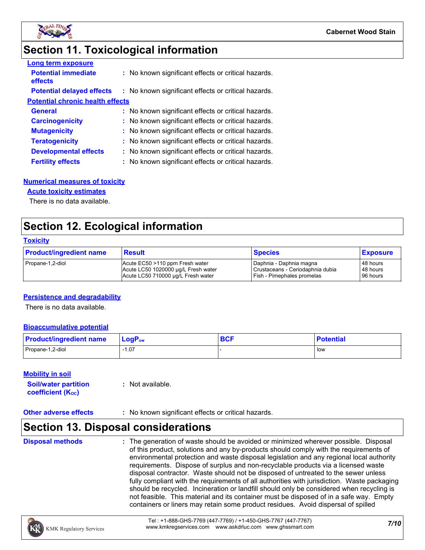

### **Section 11. Toxicological information**

| <b>Long term exposure</b>               |                                                     |
|-----------------------------------------|-----------------------------------------------------|
| <b>Potential immediate</b><br>effects   | : No known significant effects or critical hazards. |
| <b>Potential delayed effects</b>        | : No known significant effects or critical hazards. |
| <b>Potential chronic health effects</b> |                                                     |
| <b>General</b>                          | : No known significant effects or critical hazards. |
| <b>Carcinogenicity</b>                  | : No known significant effects or critical hazards. |
| <b>Mutagenicity</b>                     | : No known significant effects or critical hazards. |
| <b>Teratogenicity</b>                   | : No known significant effects or critical hazards. |
| <b>Developmental effects</b>            | : No known significant effects or critical hazards. |
| <b>Fertility effects</b>                | : No known significant effects or critical hazards. |

#### **Numerical measures of toxicity**

#### **Acute toxicity estimates**

There is no data available.

### **Section 12. Ecological information**

#### **Toxicity**

| <b>Product/ingredient name</b> | <b>Result</b>                       | <b>Species</b>                   | <b>Exposure</b> |
|--------------------------------|-------------------------------------|----------------------------------|-----------------|
| Propane-1,2-diol               | Acute EC50 >110 ppm Fresh water     | Daphnia - Daphnia magna          | 48 hours        |
|                                | Acute LC50 1020000 µg/L Fresh water | Crustaceans - Ceriodaphnia dubia | 48 hours        |
|                                | Acute LC50 710000 ug/L Fresh water  | Fish - Pimephales promelas       | 96 hours        |

#### **Persistence and degradability**

There is no data available.

#### **Bioaccumulative potential**

| <b>Product/ingredient name</b> | $LogPow$ | <b>DAC</b><br><b>DUI</b> | <b>Potential</b> |
|--------------------------------|----------|--------------------------|------------------|
| Propane-1,2-diol               | 07، ا    |                          | l low            |

#### **Mobility in soil**

| <b>Soil/water partition</b> | : Not available. |
|-----------------------------|------------------|
| <b>coefficient (Koc)</b>    |                  |

#### **Other adverse effects** : No known significant effects or critical hazards.

### **Section 13. Disposal considerations**

**Disposal methods :**

The generation of waste should be avoided or minimized wherever possible. Disposal of this product, solutions and any by-products should comply with the requirements of environmental protection and waste disposal legislation and any regional local authority requirements. Dispose of surplus and non-recyclable products via a licensed waste disposal contractor. Waste should not be disposed of untreated to the sewer unless fully compliant with the requirements of all authorities with jurisdiction. Waste packaging should be recycled. Incineration or landfill should only be considered when recycling is not feasible. This material and its container must be disposed of in a safe way. Empty containers or liners may retain some product residues. Avoid dispersal of spilled

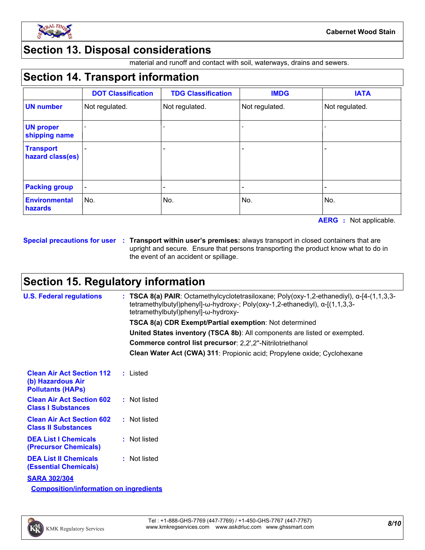

### **Section 13. Disposal considerations**

material and runoff and contact with soil, waterways, drains and sewers.

### **Section 14. Transport information**

|                                      | <b>DOT Classification</b> | <b>TDG Classification</b> | <b>IMDG</b>    | <b>IATA</b>    |
|--------------------------------------|---------------------------|---------------------------|----------------|----------------|
| <b>UN number</b>                     | Not regulated.            | Not regulated.            | Not regulated. | Not regulated. |
| <b>UN proper</b><br>shipping name    |                           |                           |                |                |
| <b>Transport</b><br>hazard class(es) |                           | -                         |                |                |
| <b>Packing group</b>                 |                           |                           |                |                |
| <b>Environmental</b><br>hazards      | No.                       | No.                       | No.            | No.            |

**AERG :** Not applicable.

**Special precautions for user Transport within user's premises:** always transport in closed containers that are **:** upright and secure. Ensure that persons transporting the product know what to do in the event of an accident or spillage.

### **Section 15. Regulatory information**

| <b>U.S. Federal regulations</b>                                                   | : TSCA 8(a) PAIR: Octamethylcyclotetrasiloxane; Poly(oxy-1,2-ethanediyl), $\alpha$ -[4-(1,1,3,3-<br>tetramethylbutyl)phenyl]- $\omega$ -hydroxy-; Poly(oxy-1,2-ethanediyl), $\alpha$ -[(1,1,3,3-<br>tetramethylbutyl)phenyl]-ω-hydroxy- |
|-----------------------------------------------------------------------------------|-----------------------------------------------------------------------------------------------------------------------------------------------------------------------------------------------------------------------------------------|
|                                                                                   | TSCA 8(a) CDR Exempt/Partial exemption: Not determined                                                                                                                                                                                  |
|                                                                                   | United States inventory (TSCA 8b): All components are listed or exempted.                                                                                                                                                               |
|                                                                                   | Commerce control list precursor: 2,2',2"-Nitrilotriethanol                                                                                                                                                                              |
|                                                                                   | Clean Water Act (CWA) 311: Propionic acid; Propylene oxide; Cyclohexane                                                                                                                                                                 |
| <b>Clean Air Act Section 112</b><br>(b) Hazardous Air<br><b>Pollutants (HAPS)</b> | : Listed                                                                                                                                                                                                                                |
| <b>Clean Air Act Section 602</b><br><b>Class I Substances</b>                     | : Not listed                                                                                                                                                                                                                            |
| <b>Clean Air Act Section 602</b><br><b>Class II Substances</b>                    | : Not listed                                                                                                                                                                                                                            |
| <b>DEA List I Chemicals</b><br>(Precursor Chemicals)                              | : Not listed                                                                                                                                                                                                                            |
| <b>DEA List II Chemicals</b><br><b>(Essential Chemicals)</b>                      | : Not listed                                                                                                                                                                                                                            |
| <b>SARA 302/304</b>                                                               |                                                                                                                                                                                                                                         |
| <b>Composition/information on ingredients</b>                                     |                                                                                                                                                                                                                                         |

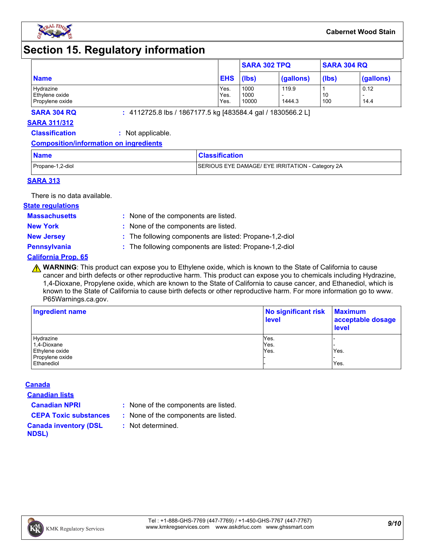

### **Section 15. Regulatory information**

|                 |            | <b>SARA 302 TPQ</b> |           | <b>SARA 304 RQ</b> |           |
|-----------------|------------|---------------------|-----------|--------------------|-----------|
| <b>Name</b>     | <b>EHS</b> | (lbs)               | (gallons) | (lbs)              | (gallons) |
| Hydrazine       | Yes.       | 1000                | 119.9     |                    | 0.12      |
| Ethylene oxide  | Yes.       | 1000                |           | 10                 |           |
| Propylene oxide | Yes.       | 10000               | 1444.3    | 100                | 14.4      |

**SARA 304 RQ :** 4112725.8 lbs / 1867177.5 kg [483584.4 gal / 1830566.2 L]

#### **SARA 311/312**

**Classification :** Not applicable.

#### **Composition/information on ingredients**

| <b>Name</b>      | <b>Classification</b>                            |
|------------------|--------------------------------------------------|
| Propane-1,2-diol | SERIOUS EYE DAMAGE/ EYE IRRITATION - Category 2A |

#### **SARA 313**

There is no data available.

### **State regulations**

**Massachusetts :**

- : None of the components are listed. **New York :** None of the components are listed.
- 
- **New Jersey :** The following components are listed: Propane-1,2-diol

**Pennsylvania :** The following components are listed: Propane-1,2-diol

#### **California Prop. 65**

**A WARNING**: This product can expose you to Ethylene oxide, which is known to the State of California to cause cancer and birth defects or other reproductive harm. This product can expose you to chemicals including Hydrazine, 1,4-Dioxane, Propylene oxide, which are known to the State of California to cause cancer, and Ethanediol, which is known to the State of California to cause birth defects or other reproductive harm. For more information go to www. P65Warnings.ca.gov.

| Ingredient name | No significant risk<br><b>level</b> | <b>Maximum</b><br>acceptable dosage<br><b>level</b> |  |
|-----------------|-------------------------------------|-----------------------------------------------------|--|
| Hydrazine       | Yes.                                |                                                     |  |
| 1,4-Dioxane     | Yes.                                |                                                     |  |
| Ethylene oxide  | Yes.                                | Yes.                                                |  |
| Propylene oxide |                                     |                                                     |  |
| Ethanediol      |                                     | Yes.                                                |  |

#### **Canada**

**Canadian lists**

- **Canadian NPRI :** None of the components are listed.
- **CEPA Toxic substances :** None of the components are listed.
	- **:** Not determined.

#### **Canada inventory (DSL NDSL)**